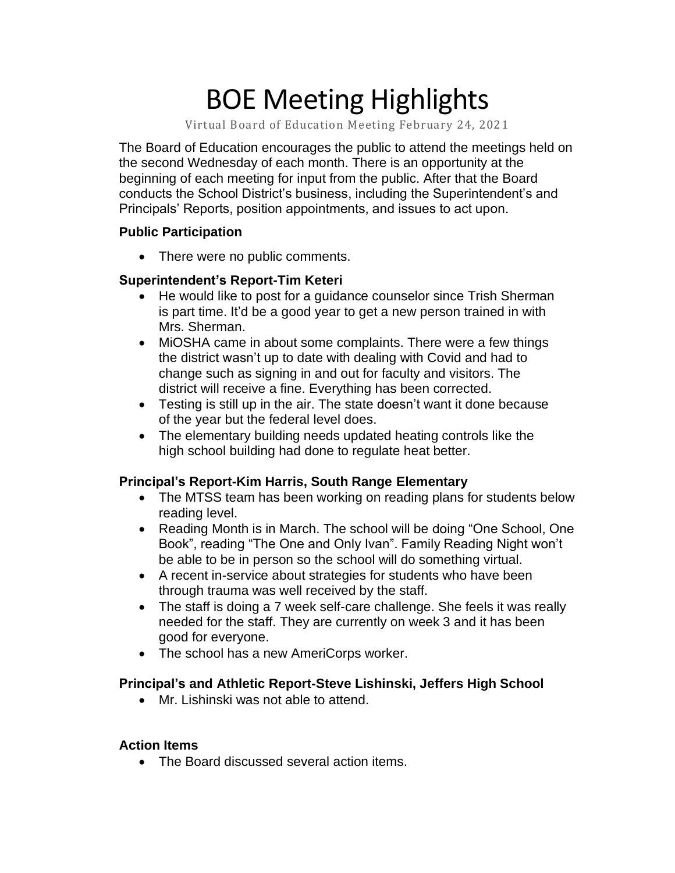# BOE Meeting Highlights

Virtual Board of Education Meeting February 24, 2021

 The Board of Education encourages the public to attend the meetings held on the second Wednesday of each month. There is an opportunity at the beginning of each meeting for input from the public. After that the Board conducts the School District's business, including the Superintendent's and Principals' Reports, position appointments, and issues to act upon.

#### **Public Participation**

• There were no public comments.

### **Superintendent's Report-Tim Keteri**

- He would like to post for a quidance counselor since Trish Sherman is part time. It'd be a good year to get a new person trained in with Mrs. Sherman.
- MiOSHA came in about some complaints. There were a few things the district wasn't up to date with dealing with Covid and had to change such as signing in and out for faculty and visitors. The district will receive a fine. Everything has been corrected.
- Testing is still up in the air. The state doesn't want it done because of the year but the federal level does.
- high school building had done to regulate heat better. • The elementary building needs updated heating controls like the

## **Principal's Report-Kim Harris, South Range Elementary**

- • The MTSS team has been working on reading plans for students below reading level.
- • Reading Month is in March. The school will be doing "One School, One Book", reading "The One and Only Ivan". Family Reading Night won't be able to be in person so the school will do something virtual.
- • A recent in-service about strategies for students who have been through trauma was well received by the staff.
- • The staff is doing a 7 week self-care challenge. She feels it was really needed for the staff. They are currently on week 3 and it has been good for everyone.
- The school has a new AmeriCorps worker.

## **Principal's and Athletic Report-Steve Lishinski, Jeffers High School**

• Mr. Lishinski was not able to attend.

#### **Action Items**

• The Board discussed several action items.